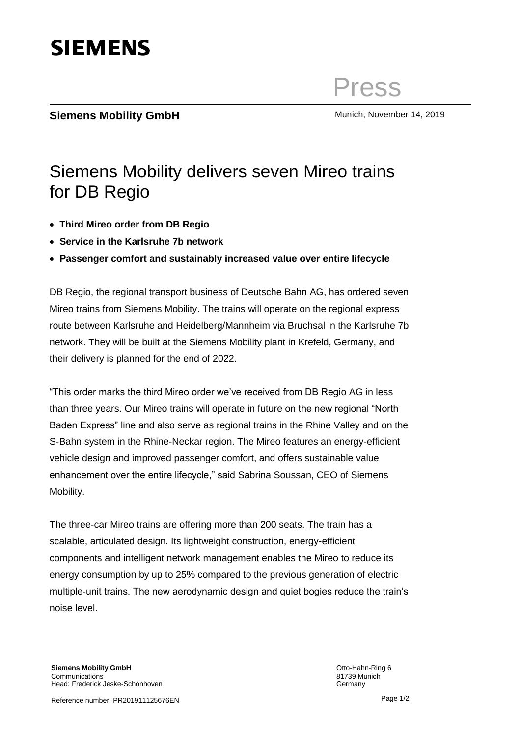

Press

# **Siemens Mobility GmbH** Munich, November 14, 2019

#### **Siemens Mobility GmbH** olener Otto-Hahn-Ring 6 80 train Siemens Mobility delivers seven Mireo trains for DB Regio

- Headline: Arial 20 pt normal, Zeilenabstand 1 • **Third Mireo order from DB Regio**
- Service in the Karlsruhe 7b network
- **Passenger comfort and sustainably increased value over entire lifecycle**

DB Regio, the regional transport business of Deutsche Bahn AG, has ordered seven Mireo trains from Siemens Mobility. The trains will operate on the regional express network. They will be built at the Siemens Mobility plant in Krefeld, Germany, and their delivery is planned for the end of 2022. route between Karlsruhe and Heidelberg/Mannheim via Bruchsal in the Karlsruhe 7b

than three years. Our Mireo trains will operate in future on the new regional "North Baden Express" line and also serve as regional trains in the Rhine Valley and on the "This order marks the third Mireo order we've received from DB Regio AG in less S-Bahn system in the Rhine-Neckar region. The Mireo features an energy-efficient vehicle design and improved passenger comfort, and offers sustainable value enhancement over the entire lifecycle," said Sabrina Soussan, CEO of Siemens Mobility.

The three-car Mireo trains are offering more than 200 seats. The train has a scalable, articulated design. Its lightweight construction, energy-efficient components and intelligent network management enables the Mireo to reduce its energy consumption by up to 25% compared to the previous generation of electric multiple-unit trains. The new aerodynamic design and quiet bogies reduce the train's noise level.

Page 1/2